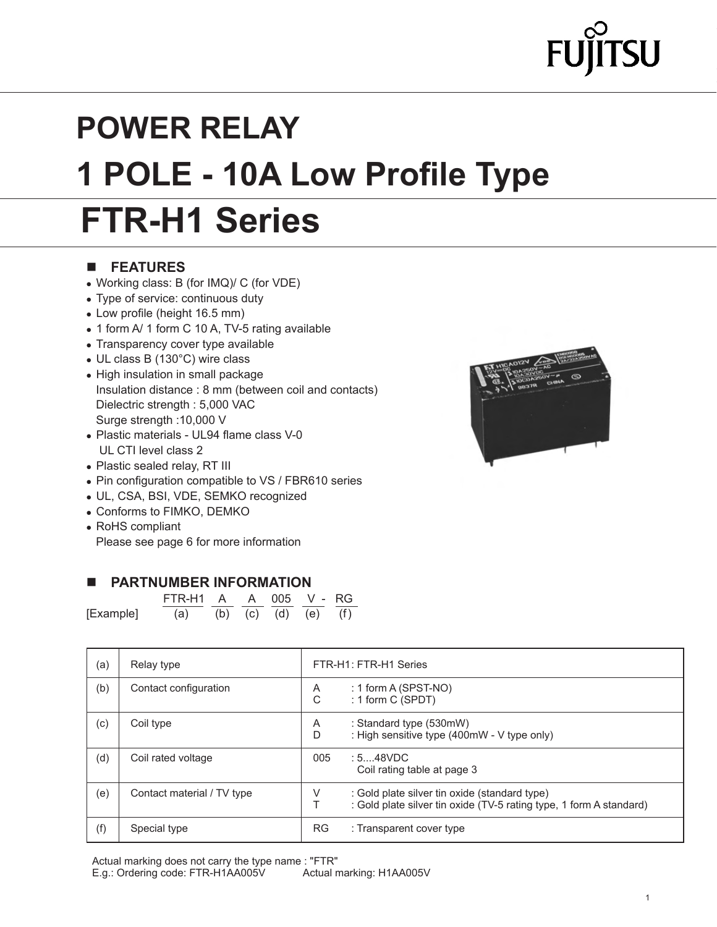# $\mathsf{SU}% (\mathbb{R}^{N})$

# **POWER RELAY 1 POLE - 10A Low Profile Type FTR-H1 Series**

### n **FEATURES**

- Working class: B (for IMQ)/ C (for VDE)
- Type of service: continuous duty
- Low profile (height 16.5 mm)
- 1 form A/ 1 form C 10 A, TV-5 rating available
- Transparency cover type available
- UL class B (130°C) wire class
- High insulation in small package Insulation distance : 8 mm (between coil and contacts) Dielectric strength : 5,000 VAC Surge strength :10,000 V
- Plastic materials UL94 flame class V-0 UL CTI level class 2
- Plastic sealed relay, RT III
- Pin configuration compatible to VS / FBR610 series
- UL, CSA, BSI, VDE, SEMKO recognized
- Conforms to FIMKO, DEMKO
- RoHS compliant

Please see page 6 for more information

#### **N** PARTNUMBER INFORMATION

|           | FTR-H1 A A 005 V - RG   |  |  |  |
|-----------|-------------------------|--|--|--|
| [Example] | (a) (b) (c) (d) (e) (f) |  |  |  |

| (a) | Relay type                 | FTR-H1: FTR-H1 Series |                                                                                                                      |
|-----|----------------------------|-----------------------|----------------------------------------------------------------------------------------------------------------------|
| (b) | Contact configuration      | A<br>C                | : 1 form A (SPST-NO)<br>: 1 form C (SPDT)                                                                            |
| (c) | Coil type                  | A<br>D                | : Standard type (530mW)<br>: High sensitive type (400mW - V type only)                                               |
| (d) | Coil rated voltage         | 005<br>: 548VDC       | Coil rating table at page 3                                                                                          |
| (e) | Contact material / TV type | V                     | : Gold plate silver tin oxide (standard type)<br>: Gold plate silver tin oxide (TV-5 rating type, 1 form A standard) |
| (f) | Special type               | <b>RG</b>             | : Transparent cover type                                                                                             |

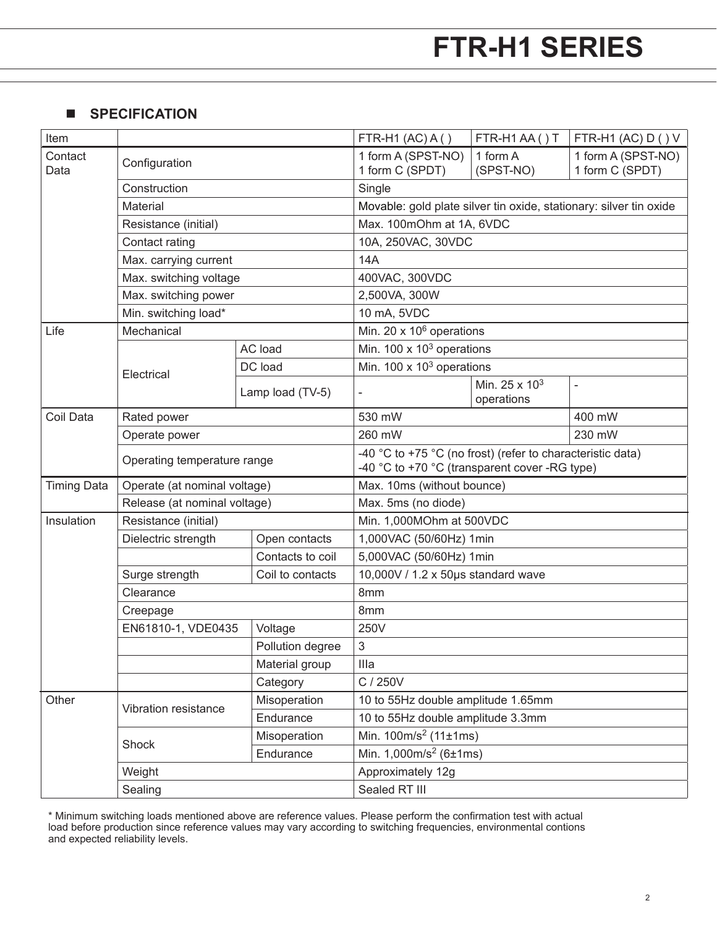### **n** SPECIFICATION

| Item               |                              |                  | FTR-H1 $(AC)$ A $($ )                                                                                       | FTR-H1AA()T                             | FTR-H1 (AC) $D()V$                    |  |  |
|--------------------|------------------------------|------------------|-------------------------------------------------------------------------------------------------------------|-----------------------------------------|---------------------------------------|--|--|
| Contact<br>Data    | Configuration                |                  | 1 form A (SPST-NO)<br>1 form C (SPDT)                                                                       | 1 form A<br>(SPST-NO)                   | 1 form A (SPST-NO)<br>1 form C (SPDT) |  |  |
|                    | Construction                 |                  | Single                                                                                                      |                                         |                                       |  |  |
|                    | Material                     |                  | Movable: gold plate silver tin oxide, stationary: silver tin oxide                                          |                                         |                                       |  |  |
|                    | Resistance (initial)         |                  | Max. 100mOhm at 1A, 6VDC                                                                                    |                                         |                                       |  |  |
|                    | Contact rating               |                  |                                                                                                             | 10A, 250VAC, 30VDC                      |                                       |  |  |
|                    | Max. carrying current        |                  | <b>14A</b>                                                                                                  |                                         |                                       |  |  |
|                    | Max. switching voltage       |                  | 400VAC, 300VDC                                                                                              |                                         |                                       |  |  |
|                    | Max. switching power         |                  | 2,500VA, 300W                                                                                               |                                         |                                       |  |  |
|                    | Min. switching load*         |                  | 10 mA, 5VDC                                                                                                 |                                         |                                       |  |  |
| Life               | Mechanical                   |                  | Min. 20 $\times$ 10 $^6$ operations                                                                         |                                         |                                       |  |  |
|                    |                              | AC load          | Min. $100 \times 10^3$ operations                                                                           |                                         |                                       |  |  |
|                    | Electrical                   | DC load          | Min. 100 $\times$ 10 <sup>3</sup> operations                                                                |                                         |                                       |  |  |
|                    | Lamp load (TV-5)             |                  |                                                                                                             | Min. 25 x 10 <sup>3</sup><br>operations | $\blacksquare$                        |  |  |
| Coil Data          | Rated power                  |                  | 530 mW                                                                                                      |                                         | 400 mW                                |  |  |
|                    | Operate power                |                  | 230 mW<br>260 mW                                                                                            |                                         |                                       |  |  |
|                    | Operating temperature range  |                  | -40 °C to +75 °C (no frost) (refer to characteristic data)<br>-40 °C to +70 °C (transparent cover -RG type) |                                         |                                       |  |  |
| <b>Timing Data</b> | Operate (at nominal voltage) |                  | Max. 10ms (without bounce)                                                                                  |                                         |                                       |  |  |
|                    | Release (at nominal voltage) |                  | Max. 5ms (no diode)                                                                                         |                                         |                                       |  |  |
| Insulation         | Resistance (initial)         |                  | Min. 1,000MOhm at 500VDC                                                                                    |                                         |                                       |  |  |
|                    | Dielectric strength          | Open contacts    | 1,000VAC (50/60Hz) 1min                                                                                     |                                         |                                       |  |  |
|                    |                              | Contacts to coil | 5,000VAC (50/60Hz) 1min                                                                                     |                                         |                                       |  |  |
|                    | Surge strength               | Coil to contacts | 10,000V / 1.2 x 50µs standard wave                                                                          |                                         |                                       |  |  |
|                    | Clearance                    |                  | 8mm                                                                                                         |                                         |                                       |  |  |
|                    | Creepage                     |                  | 8mm                                                                                                         |                                         |                                       |  |  |
|                    | EN61810-1, VDE0435           | Voltage          | 250V                                                                                                        |                                         |                                       |  |  |
|                    |                              | Pollution degree | 3                                                                                                           |                                         |                                       |  |  |
|                    |                              | Material group   | Illa                                                                                                        |                                         |                                       |  |  |
|                    |                              | Category         | C / 250V                                                                                                    |                                         |                                       |  |  |
| Other              | Vibration resistance         | Misoperation     |                                                                                                             | 10 to 55Hz double amplitude 1.65mm      |                                       |  |  |
|                    |                              | Endurance        | 10 to 55Hz double amplitude 3.3mm                                                                           |                                         |                                       |  |  |
|                    | Shock                        | Misoperation     | Min. $100m/s^2$ (11±1ms)                                                                                    |                                         |                                       |  |  |
|                    |                              | Endurance        | Min. $1,000m/s^2$ (6±1ms)                                                                                   |                                         |                                       |  |  |
|                    | Weight                       |                  | Approximately 12g                                                                                           |                                         |                                       |  |  |
|                    | Sealing                      |                  | Sealed RT III                                                                                               |                                         |                                       |  |  |

\* Minimum switching loads mentioned above are reference values. Please perform the confirmation test with actual load before production since reference values may vary according to switching frequencies, environmental contions and expected reliability levels.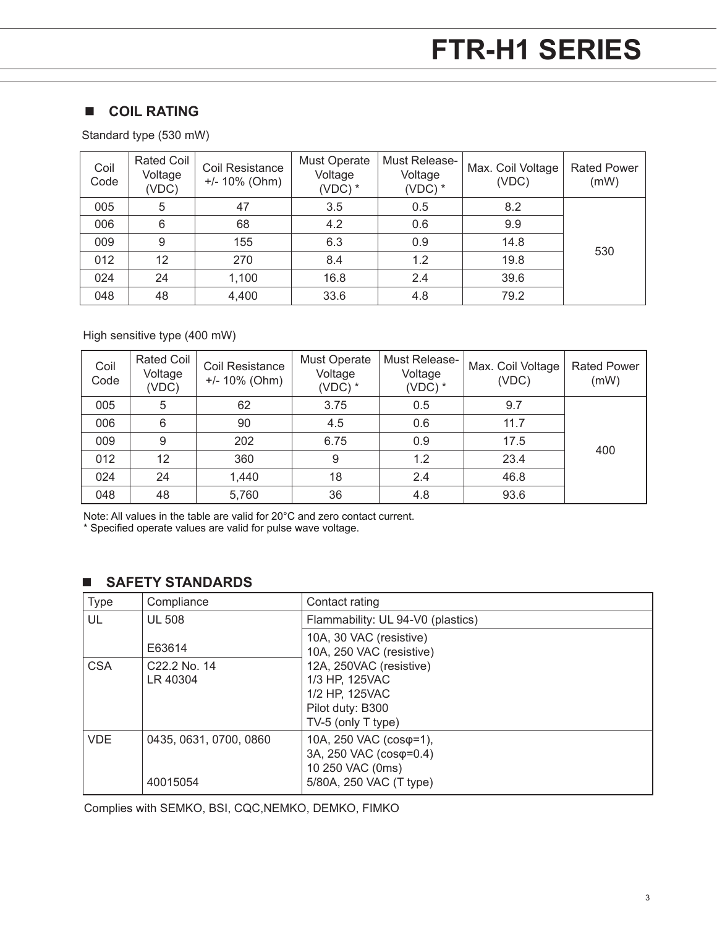### **n COIL RATING**

Standard type (530 mW)

| Coil<br>Code | Rated Coil<br>Voltage<br>(VDC) | Coil Resistance<br>$+/- 10\%$ (Ohm) | Must Operate<br>Voltage<br>$(VDC)$ * | Must Release-<br>Voltage<br>$(VDC)$ * | Max. Coil Voltage<br>(VDC) | <b>Rated Power</b><br>(mW) |
|--------------|--------------------------------|-------------------------------------|--------------------------------------|---------------------------------------|----------------------------|----------------------------|
| 005          | 5                              | 47                                  | 3.5                                  | 0.5                                   | 8.2                        |                            |
| 006          | 6                              | 68                                  | 4.2                                  | 0.6                                   | 9.9                        |                            |
| 009          | 9                              | 155                                 | 6.3                                  | 0.9                                   | 14.8                       | 530                        |
| 012          | 12                             | 270                                 | 8.4                                  | 1.2                                   | 19.8                       |                            |
| 024          | 24                             | 1,100                               | 16.8                                 | 2.4                                   | 39.6                       |                            |
| 048          | 48                             | 4,400                               | 33.6                                 | 4.8                                   | 79.2                       |                            |

High sensitive type (400 mW)

| Coil<br>Code | Rated Coil<br>Voltage<br>(VDC) | Coil Resistance<br>$+/- 10\%$ (Ohm) | <b>Must Operate</b><br>Voltage<br>$(VDC)$ * | Must Release-<br>Voltage<br>$(VDC)$ * | Max. Coil Voltage<br>(VDC) | <b>Rated Power</b><br>(mW) |
|--------------|--------------------------------|-------------------------------------|---------------------------------------------|---------------------------------------|----------------------------|----------------------------|
| 005          | 5                              | 62                                  | 3.75                                        | 0.5                                   | 9.7                        |                            |
| 006          | 6                              | 90                                  | 4.5                                         | 0.6                                   | 11.7                       |                            |
| 009          | 9                              | 202                                 | 6.75                                        | 0.9                                   | 17.5                       | 400                        |
| 012          | 12                             | 360                                 | 9                                           | 1.2                                   | 23.4                       |                            |
| 024          | 24                             | 1,440                               | 18                                          | 2.4                                   | 46.8                       |                            |
| 048          | 48                             | 5,760                               | 36                                          | 4.8                                   | 93.6                       |                            |

Note: All values in the table are valid for 20°C and zero contact current.

\* Specified operate values are valid for pulse wave voltage.

### n **SAFETY STANDARDS**

| <b>Type</b> | Compliance             | Contact rating                                      |
|-------------|------------------------|-----------------------------------------------------|
| UL          | <b>UL 508</b>          | Flammability: UL 94-V0 (plastics)                   |
|             | E63614                 | 10A, 30 VAC (resistive)<br>10A, 250 VAC (resistive) |
| <b>CSA</b>  | C22.2 No. 14           | 12A, 250VAC (resistive)                             |
|             | LR 40304               | 1/3 HP, 125VAC                                      |
|             |                        | 1/2 HP, 125VAC                                      |
|             |                        | Pilot duty: B300                                    |
|             |                        | TV-5 (only T type)                                  |
| <b>VDE</b>  | 0435, 0631, 0700, 0860 | 10A, 250 VAC (cosφ=1),                              |
|             |                        | 3A, 250 VAC (cosφ=0.4)                              |
|             |                        | 10 250 VAC (0ms)                                    |
|             | 40015054               | 5/80A, 250 VAC (T type)                             |

Complies with SEMKO, BSI, CQC,NEMKO, DEMKO, FIMKO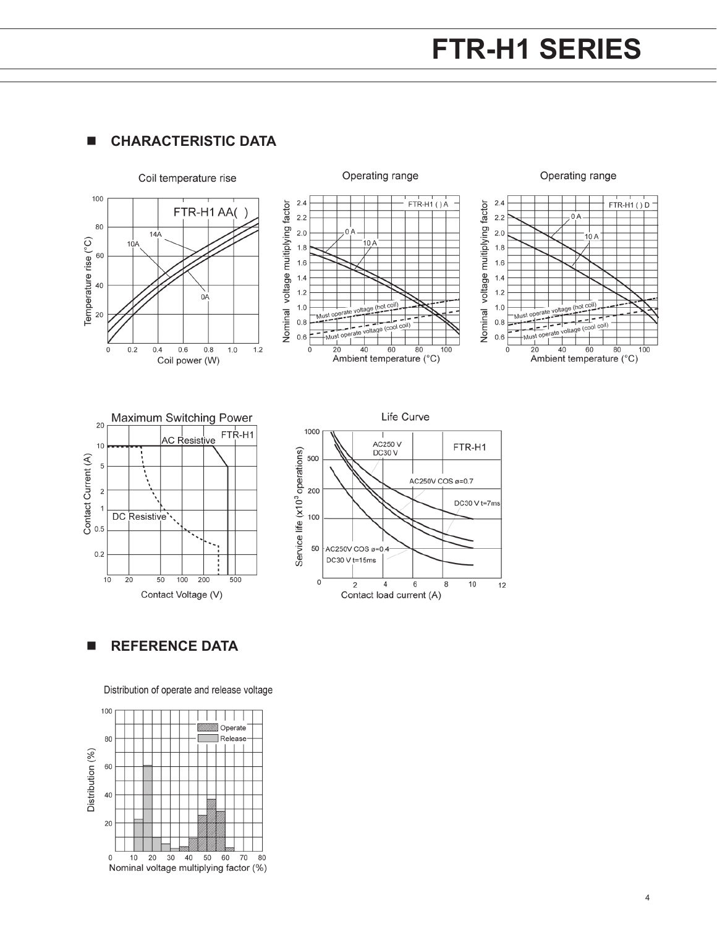### $I$  **CHARACTERISTIC DATA**



n **REFERENCE DATA**

Distribution of operate and release voltage

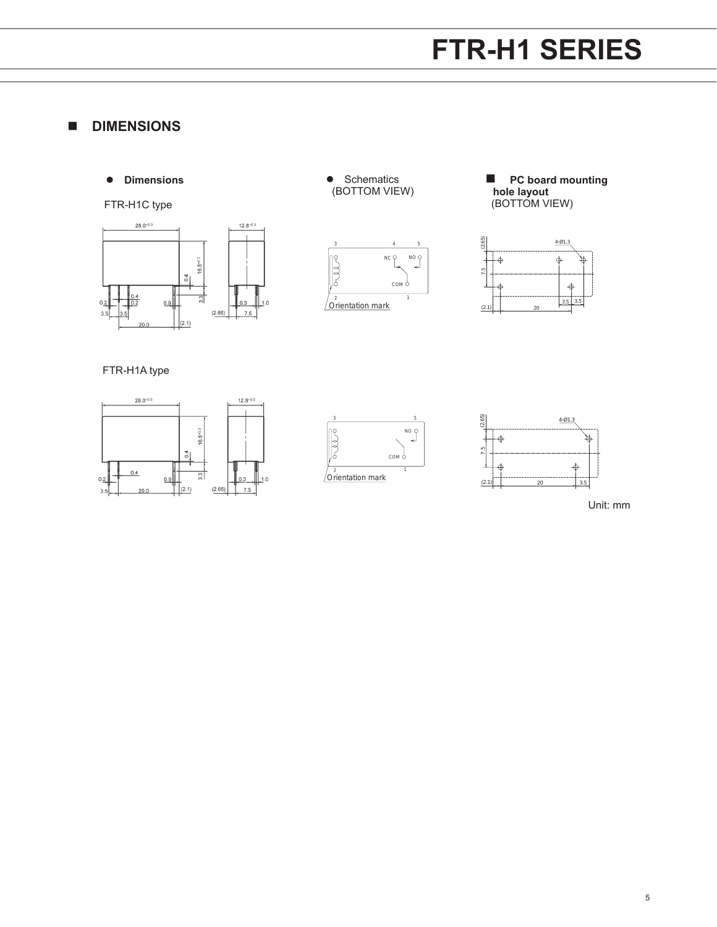### **n** DIMENSIONS

 $\bullet$  Dimensions

FTR-H1C type



**•** Schematics (BOTTOM VIEW)







FTR-H1A type







Unit: mm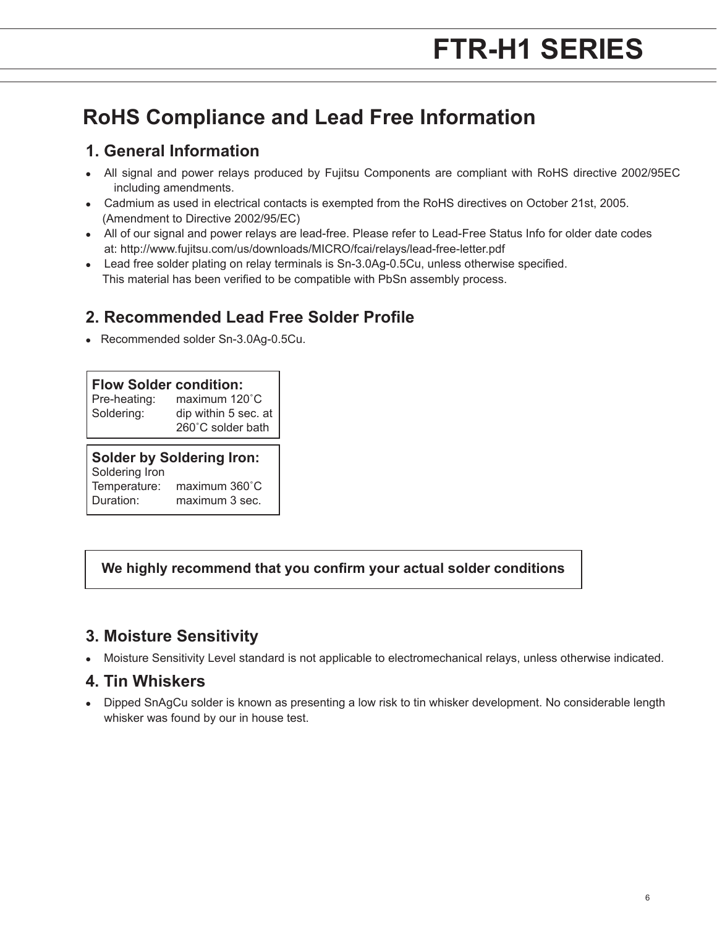### **RoHS Compliance and Lead Free Information**

### **1. General Information**

- All signal and power relays produced by Fujitsu Components are compliant with RoHS directive 2002/95EC including amendments.
- Cadmium as used in electrical contacts is exempted from the RoHS directives on October 21st, 2005. (Amendment to Directive 2002/95/EC)
- All of our signal and power relays are lead-free. Please refer to Lead-Free Status Info for older date codes at: http://www.fujitsu.com/us/downloads/MICRO/fcai/relays/lead-free-letter.pdf
- Lead free solder plating on relay terminals is Sn-3.0Ag-0.5Cu, unless otherwise specified. This material has been verified to be compatible with PbSn assembly process.

### **2. Recommended Lead Free Solder Profile**

• Recommended solder Sn-3.0Ag-0.5Cu.

### **Flow Solder condition:**

| Pre-heating: | maximum 120°C                             |
|--------------|-------------------------------------------|
| Soldering:   | dip within 5 sec. at<br>260°C solder bath |
|              |                                           |

### **Solder by Soldering Iron:**

| Soldering Iron |                         |
|----------------|-------------------------|
| Temperature:   | maximum $360^{\circ}$ C |
| Duration:      | maximum 3 sec.          |

### **We highly recommend that you confirm your actual solder conditions**

### **3. Moisture Sensitivity**

<sup>l</sup> Moisture Sensitivity Level standard is not applicable to electromechanical relays, unless otherwise indicated.

### **4. Tin Whiskers**

<sup>l</sup> Dipped SnAgCu solder is known as presenting a low risk to tin whisker development. No considerable length whisker was found by our in house test.